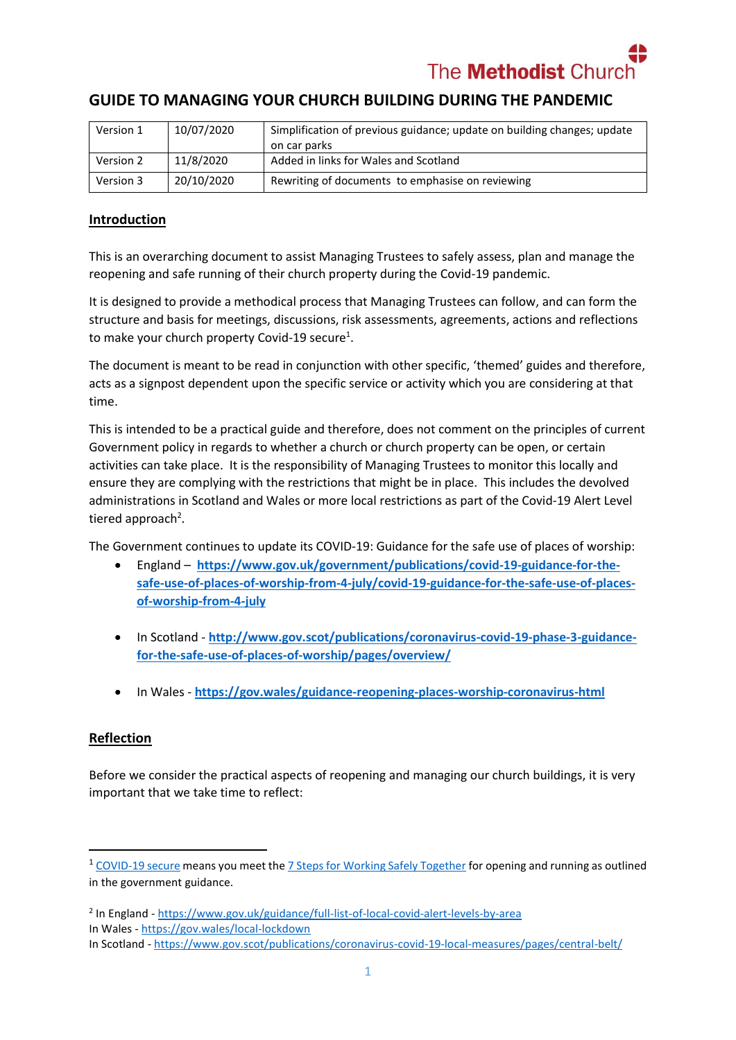The **Methodist** Chu

# **GUIDE TO MANAGING YOUR CHURCH BUILDING DURING THE PANDEMIC**

| Version 1 | 10/07/2020 | Simplification of previous guidance; update on building changes; update |
|-----------|------------|-------------------------------------------------------------------------|
|           |            | on car parks                                                            |
| Version 2 | 11/8/2020  | Added in links for Wales and Scotland                                   |
| Version 3 | 20/10/2020 | Rewriting of documents to emphasise on reviewing                        |

#### **Introduction**

This is an overarching document to assist Managing Trustees to safely assess, plan and manage the reopening and safe running of their church property during the Covid-19 pandemic.

It is designed to provide a methodical process that Managing Trustees can follow, and can form the structure and basis for meetings, discussions, risk assessments, agreements, actions and reflections to make your church property Covid-19 secure<sup>1</sup>.

The document is meant to be read in conjunction with other specific, 'themed' guides and therefore, acts as a signpost dependent upon the specific service or activity which you are considering at that time.

This is intended to be a practical guide and therefore, does not comment on the principles of current Government policy in regards to whether a church or church property can be open, or certain activities can take place. It is the responsibility of Managing Trustees to monitor this locally and ensure they are complying with the restrictions that might be in place. This includes the devolved administrations in Scotland and Wales or more local restrictions as part of the Covid-19 Alert Level tiered approach<sup>2</sup>.

The Government continues to update its COVID-19: Guidance for the safe use of places of worship:

- England **[https://www.gov.uk/government/publications/covid-19-guidance-for-the](https://www.gov.uk/government/publications/covid-19-guidance-for-the-safe-use-of-places-of-worship-from-4-july/covid-19-guidance-for-the-safe-use-of-places-of-worship-from-4-july)[safe-use-of-places-of-worship-from-4-july/covid-19-guidance-for-the-safe-use-of-places](https://www.gov.uk/government/publications/covid-19-guidance-for-the-safe-use-of-places-of-worship-from-4-july/covid-19-guidance-for-the-safe-use-of-places-of-worship-from-4-july)[of-worship-from-4-july](https://www.gov.uk/government/publications/covid-19-guidance-for-the-safe-use-of-places-of-worship-from-4-july/covid-19-guidance-for-the-safe-use-of-places-of-worship-from-4-july)**
- In Scotland [http://www.gov.scot/publications/coronavirus-covid-19-phase-3-guidance](http://www.gov.scot/publications/coronavirus-covid-19-phase-3-guidance-for-the-safe-use-of-places-of-worship/pages/overview/)**[for-the-safe-use-of-places-of-worship/pages/overview/](http://www.gov.scot/publications/coronavirus-covid-19-phase-3-guidance-for-the-safe-use-of-places-of-worship/pages/overview/)**
- In Wales **<https://gov.wales/guidance-reopening-places-worship-coronavirus-html>**

#### **Reflection**

 $\overline{\phantom{a}}$ 

Before we consider the practical aspects of reopening and managing our church buildings, it is very important that we take time to reflect:

<sup>&</sup>lt;sup>1</sup> [COVID-19 secure](https://assets.publishing.service.gov.uk/government/uploads/system/uploads/attachment_data/file/903464/staying-covid-19-secure-2020-230720.pdf) means you meet th[e 7 Steps for Working Safely Together](https://www.gov.uk/guidance/working-safely-during-coronavirus-covid-19/heritage-locations) for opening and running as outlined in the government guidance.

<sup>&</sup>lt;sup>2</sup> In England - <https://www.gov.uk/guidance/full-list-of-local-covid-alert-levels-by-area> In Wales - <https://gov.wales/local-lockdown> In Scotland - <https://www.gov.scot/publications/coronavirus-covid-19-local-measures/pages/central-belt/>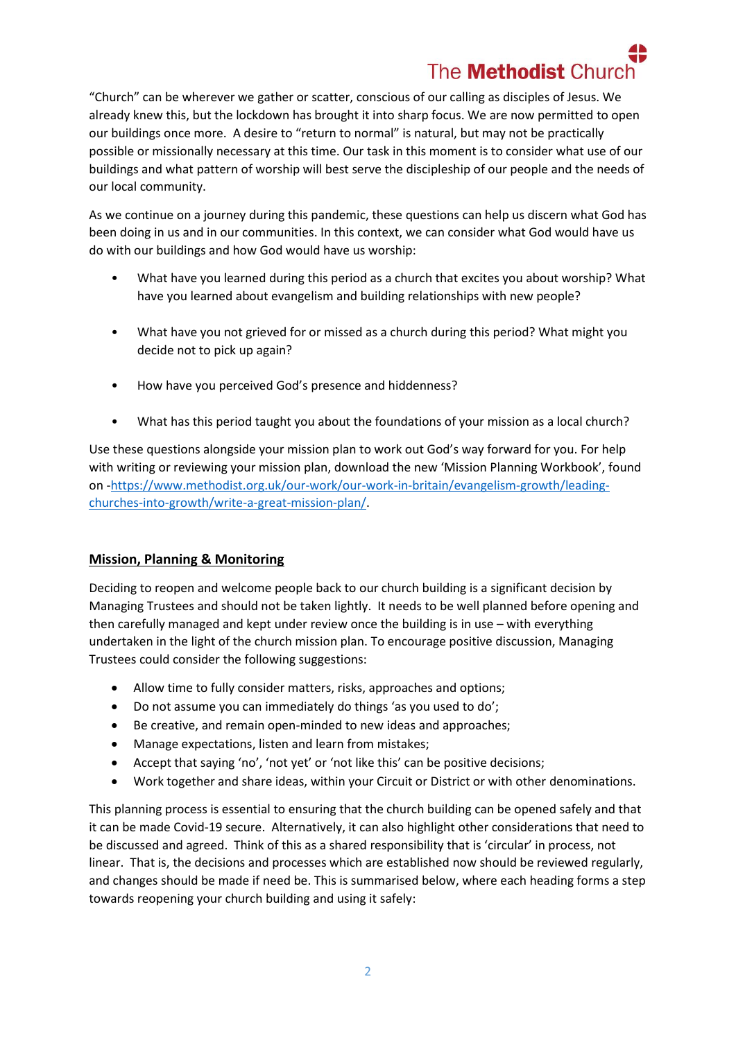# The **Methodist** Church

"Church" can be wherever we gather or scatter, conscious of our calling as disciples of Jesus. We already knew this, but the lockdown has brought it into sharp focus. We are now permitted to open our buildings once more. A desire to "return to normal" is natural, but may not be practically possible or missionally necessary at this time. Our task in this moment is to consider what use of our buildings and what pattern of worship will best serve the discipleship of our people and the needs of our local community.

As we continue on a journey during this pandemic, these questions can help us discern what God has been doing in us and in our communities. In this context, we can consider what God would have us do with our buildings and how God would have us worship:

- What have you learned during this period as a church that excites you about worship? What have you learned about evangelism and building relationships with new people?
- What have you not grieved for or missed as a church during this period? What might you decide not to pick up again?
- How have you perceived God's presence and hiddenness?
- What has this period taught you about the foundations of your mission as a local church?

Use these questions alongside your mission plan to work out God's way forward for you. For help with writing or reviewing your mission plan, download the new 'Mission Planning Workbook', found on [-https://www.methodist.org.uk/our-work/our-work-in-britain/evangelism-growth/leading](https://www.methodist.org.uk/our-work/our-work-in-britain/evangelism-growth/leading-churches-into-growth/write-a-great-mission-plan/)[churches-into-growth/write-a-great-mission-plan/.](https://www.methodist.org.uk/our-work/our-work-in-britain/evangelism-growth/leading-churches-into-growth/write-a-great-mission-plan/)

## **Mission, Planning & Monitoring**

Deciding to reopen and welcome people back to our church building is a significant decision by Managing Trustees and should not be taken lightly. It needs to be well planned before opening and then carefully managed and kept under review once the building is in use – with everything undertaken in the light of the church mission plan. To encourage positive discussion, Managing Trustees could consider the following suggestions:

- Allow time to fully consider matters, risks, approaches and options;
- Do not assume you can immediately do things 'as you used to do';
- Be creative, and remain open-minded to new ideas and approaches;
- Manage expectations, listen and learn from mistakes;
- Accept that saying 'no', 'not yet' or 'not like this' can be positive decisions;
- Work together and share ideas, within your Circuit or District or with other denominations.

This planning process is essential to ensuring that the church building can be opened safely and that it can be made Covid-19 secure. Alternatively, it can also highlight other considerations that need to be discussed and agreed. Think of this as a shared responsibility that is 'circular' in process, not linear. That is, the decisions and processes which are established now should be reviewed regularly, and changes should be made if need be. This is summarised below, where each heading forms a step towards reopening your church building and using it safely: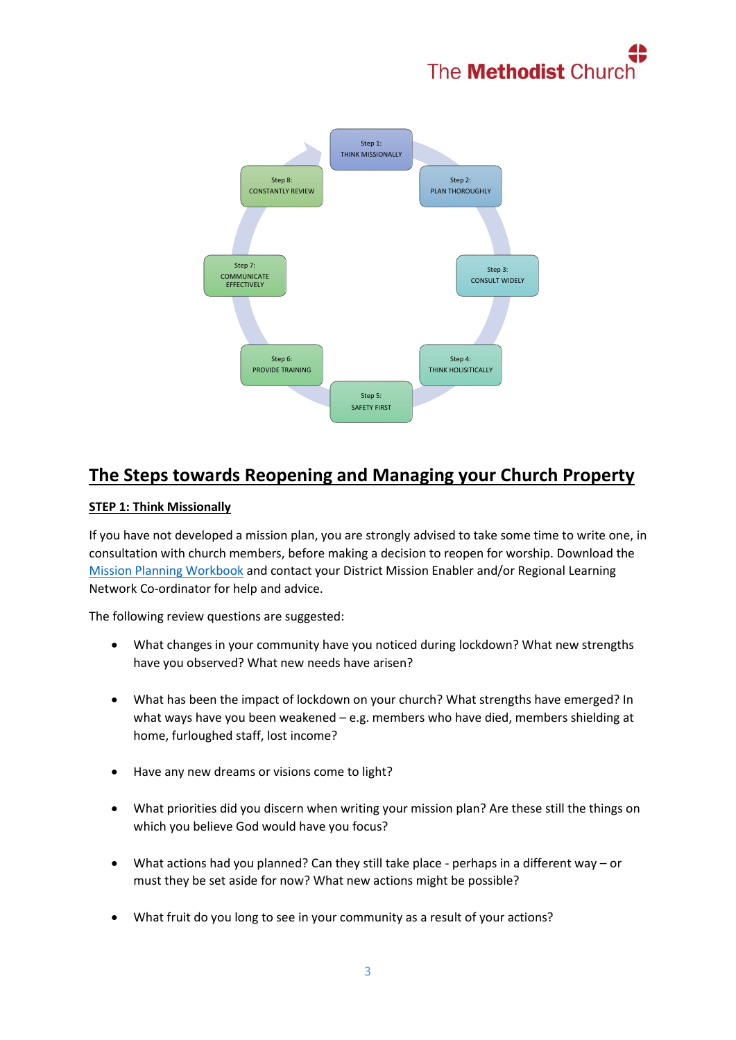



# **The Steps towards Reopening and Managing your Church Property**

### **STEP 1: Think Missionally**

If you have not developed a mission plan, you are strongly advised to take some time to write one, in consultation with church members, before making a decision to reopen for worship. Download the [Mission Planning Workbook](https://www.methodist.org.uk/our-work/our-work-in-britain/evangelism-growth/leading-churches-into-growth/write-a-great-mission-plan/mission-planning-toolkit/) and contact your District Mission Enabler and/or Regional Learning Network Co-ordinator for help and advice.

The following review questions are suggested:

- What changes in your community have you noticed during lockdown? What new strengths have you observed? What new needs have arisen?
- What has been the impact of lockdown on your church? What strengths have emerged? In what ways have you been weakened – e.g. members who have died, members shielding at home, furloughed staff, lost income?
- Have any new dreams or visions come to light?
- What priorities did you discern when writing your mission plan? Are these still the things on which you believe God would have you focus?
- What actions had you planned? Can they still take place perhaps in a different way or must they be set aside for now? What new actions might be possible?
- What fruit do you long to see in your community as a result of your actions?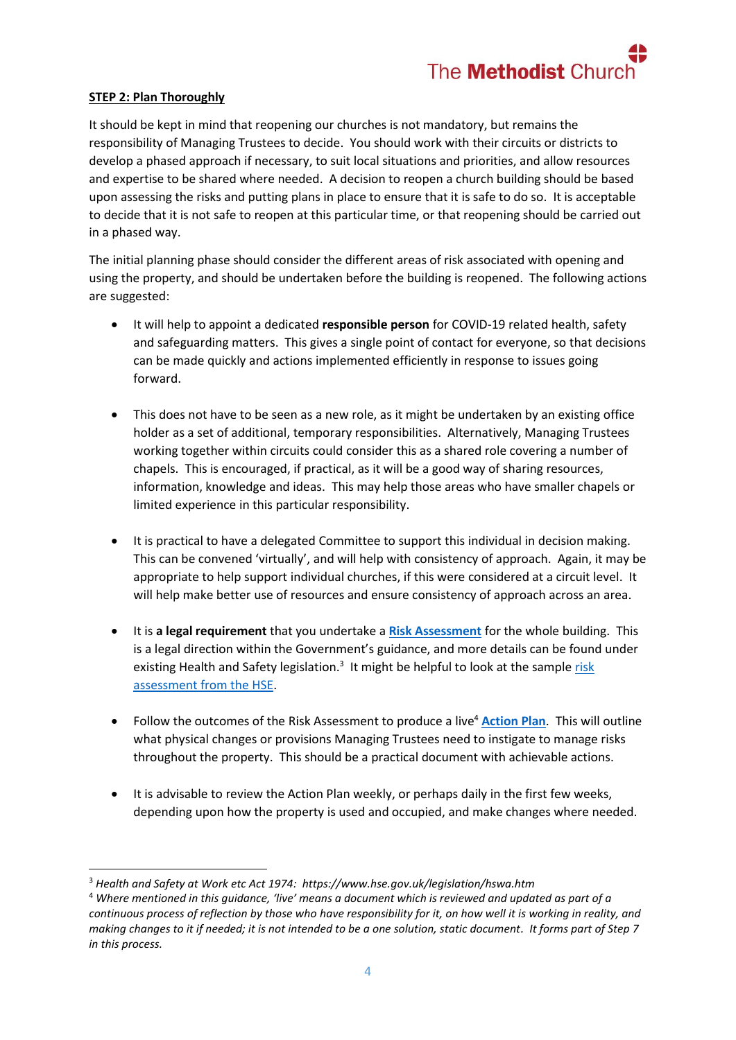

#### **STEP 2: Plan Thoroughly**

**.** 

It should be kept in mind that reopening our churches is not mandatory, but remains the responsibility of Managing Trustees to decide. You should work with their circuits or districts to develop a phased approach if necessary, to suit local situations and priorities, and allow resources and expertise to be shared where needed. A decision to reopen a church building should be based upon assessing the risks and putting plans in place to ensure that it is safe to do so. It is acceptable to decide that it is not safe to reopen at this particular time, or that reopening should be carried out in a phased way.

The initial planning phase should consider the different areas of risk associated with opening and using the property, and should be undertaken before the building is reopened. The following actions are suggested:

- It will help to appoint a dedicated **responsible person** for COVID-19 related health, safety and safeguarding matters. This gives a single point of contact for everyone, so that decisions can be made quickly and actions implemented efficiently in response to issues going forward.
- This does not have to be seen as a new role, as it might be undertaken by an existing office holder as a set of additional, temporary responsibilities. Alternatively, Managing Trustees working together within circuits could consider this as a shared role covering a number of chapels. This is encouraged, if practical, as it will be a good way of sharing resources, information, knowledge and ideas. This may help those areas who have smaller chapels or limited experience in this particular responsibility.
- It is practical to have a delegated Committee to support this individual in decision making. This can be convened 'virtually', and will help with consistency of approach. Again, it may be appropriate to help support individual churches, if this were considered at a circuit level. It will help make better use of resources and ensure consistency of approach across an area.
- It is **a legal requirement** that you undertake a **[Risk Assessment](https://www.methodist.org.uk/for-churches/property/coronavirus-guidance-for-property/)** for the whole building. This is a legal direction within the Government's guidance, and more details can be found under existing Health and Safety legislation.<sup>3</sup> It might be helpful to look at the sample risk [assessment from the HSE.](https://www.hse.gov.uk/coronavirus/assets/docs/risk-assessment.pdf)
- Follow the outcomes of the Risk Assessment to produce a live<sup>4</sup> [Action Plan](https://www.methodist.org.uk/for-churches/property/coronavirus-guidance-for-property/). This will outline what physical changes or provisions Managing Trustees need to instigate to manage risks throughout the property. This should be a practical document with achievable actions.
- It is advisable to review the Action Plan weekly, or perhaps daily in the first few weeks, depending upon how the property is used and occupied, and make changes where needed.

<sup>3</sup> *Health and Safety at Work etc Act 1974: https://www.hse.gov.uk/legislation/hswa.htm*

<sup>4</sup> *Where mentioned in this guidance, 'live' means a document which is reviewed and updated as part of a continuous process of reflection by those who have responsibility for it, on how well it is working in reality, and making changes to it if needed; it is not intended to be a one solution, static document. It forms part of Step 7 in this process.*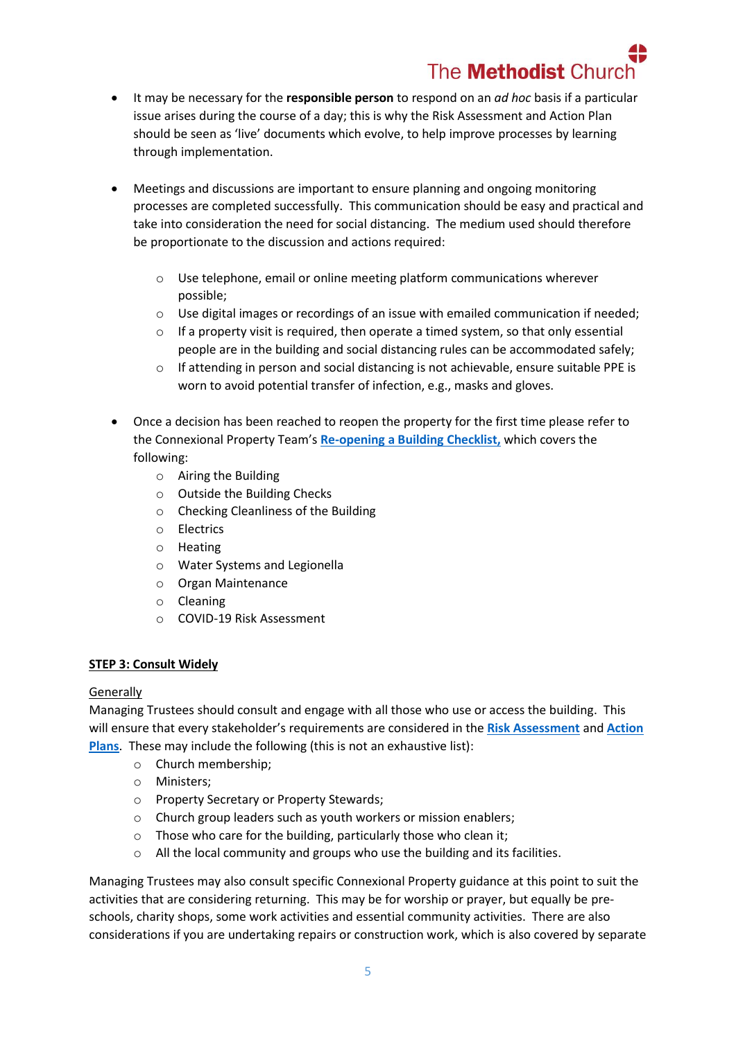# The **Methodist** Chur

- It may be necessary for the **responsible person** to respond on an *ad hoc* basis if a particular issue arises during the course of a day; this is why the Risk Assessment and Action Plan should be seen as 'live' documents which evolve, to help improve processes by learning through implementation.
- Meetings and discussions are important to ensure planning and ongoing monitoring processes are completed successfully. This communication should be easy and practical and take into consideration the need for social distancing. The medium used should therefore be proportionate to the discussion and actions required:
	- $\circ$  Use telephone, email or online meeting platform communications wherever possible;
	- o Use digital images or recordings of an issue with emailed communication if needed;
	- $\circ$  If a property visit is required, then operate a timed system, so that only essential people are in the building and social distancing rules can be accommodated safely;
	- o If attending in person and social distancing is not achievable, ensure suitable PPE is worn to avoid potential transfer of infection, e.g., masks and gloves.
- Once a decision has been reached to reopen the property for the first time please refer to the Connexional Property Team's **[Re-opening a Building](https://www.methodist.org.uk/for-churches/property/coronavirus-guidance-for-property/) Checklist,** which covers the following:
	- o Airing the Building
	- o Outside the Building Checks
	- o Checking Cleanliness of the Building
	- o Electrics
	- o Heating
	- o Water Systems and Legionella
	- o Organ Maintenance
	- o Cleaning
	- o COVID-19 Risk Assessment

## **STEP 3: Consult Widely**

#### Generally

Managing Trustees should consult and engage with all those who use or access the building. This will ensure that every stakeholder's requirements are considered in the **[Risk Assessment](https://www.methodist.org.uk/for-churches/property/coronavirus-guidance-for-property/)** and **[Action](https://www.methodist.org.uk/for-churches/property/coronavirus-guidance-for-property/)  [Plans](https://www.methodist.org.uk/for-churches/property/coronavirus-guidance-for-property/)**. These may include the following (this is not an exhaustive list):

- o Church membership;
- o Ministers;
- o Property Secretary or Property Stewards;
- o Church group leaders such as youth workers or mission enablers;
- $\circ$  Those who care for the building, particularly those who clean it;
- o All the local community and groups who use the building and its facilities.

Managing Trustees may also consult specific Connexional Property guidance at this point to suit the activities that are considering returning. This may be for worship or prayer, but equally be preschools, charity shops, some work activities and essential community activities. There are also considerations if you are undertaking repairs or construction work, which is also covered by separate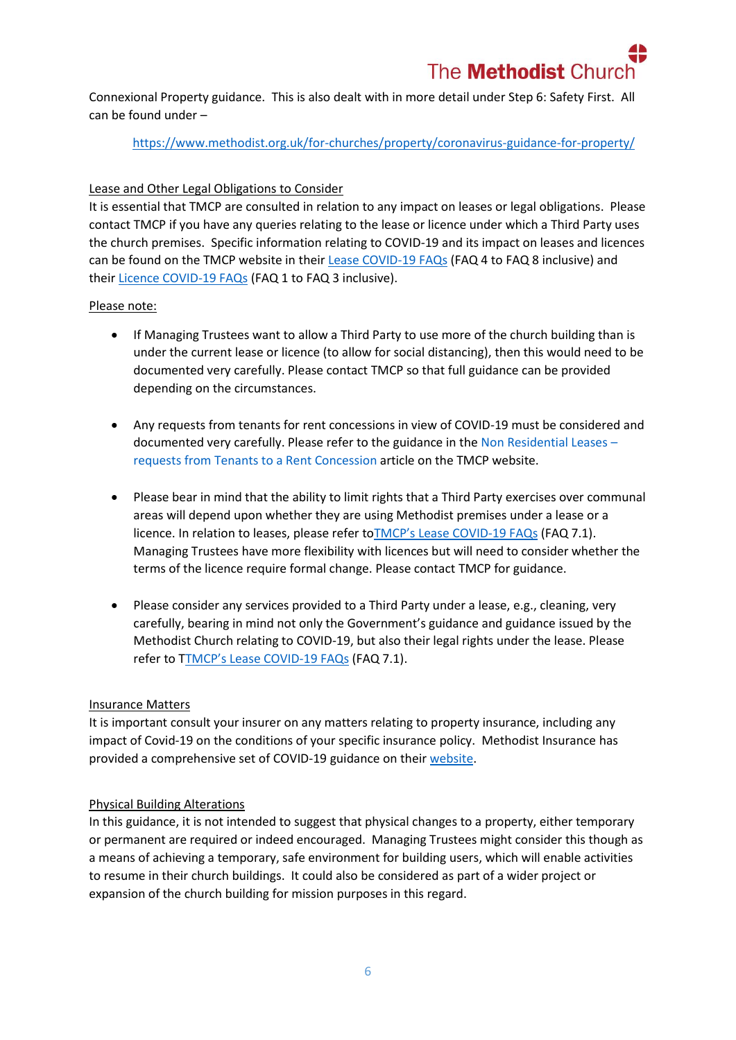Connexional Property guidance. This is also dealt with in more detail under Step 6: Safety First. All can be found under –

<https://www.methodist.org.uk/for-churches/property/coronavirus-guidance-for-property/>

### Lease and Other Legal Obligations to Consider

It is essential that TMCP are consulted in relation to any impact on leases or legal obligations. Please contact TMCP if you have any queries relating to the lease or licence under which a Third Party uses the church premises. Specific information relating to COVID-19 and its impact on leases and licences can be found on the TMCP website in thei[r Lease COVID-19 FAQs](https://www.tmcp.org.uk/about/covid19/resources/faq#4) (FAQ 4 to FAQ 8 inclusive) and their [Licence COVID-19 FAQs](https://www.tmcp.org.uk/about/covid19/resources/faq#1-1) (FAQ 1 to FAQ 3 inclusive).

#### Please note:

- If Managing Trustees want to allow a Third Party to use more of the church building than is under the current lease or licence (to allow for social distancing), then this would need to be documented very carefully. Please contact TMCP so that full guidance can be provided depending on the circumstances.
- Any requests from tenants for rent concessions in view of COVID-19 must be considered and documented very carefully. Please refer to the guidance in the [Non Residential Leases](https://www.tmcp.org.uk/news-hub/non-residential-leases-requests-from-tenants-to-a-rent-concession) – [requests from Tenants to a Rent](https://www.tmcp.org.uk/news-hub/non-residential-leases-requests-from-tenants-to-a-rent-concession) Concession article on the TMCP website.
- Please bear in mind that the ability to limit rights that a Third Party exercises over communal areas will depend upon whether they are using Methodist premises under a lease or a licence. In relation to leases, please refer toTMCP's Lease [COVID-19 FAQs](https://www.tmcp.org.uk/about/covid19/resources/faq#4) (FAQ 7.1). Managing Trustees have more flexibility with licences but will need to consider whether the terms of the licence require formal change. Please contact TMCP for guidance.
- Please consider any services provided to a Third Party under a lease, e.g., cleaning, very carefully, bearing in mind not only the Government's guidance and guidance issued by the Methodist Church relating to COVID-19, but also their legal rights under the lease. Please refer to TTMCP's Lease [COVID-19 FAQs](https://www.tmcp.org.uk/about/covid19/resources/faq#4) (FAQ 7.1).

#### Insurance Matters

It is important consult your insurer on any matters relating to property insurance, including any impact of Covid-19 on the conditions of your specific insurance policy. Methodist Insurance has provided a comprehensive set of COVID-19 guidance on thei[r website.](https://www.methodistinsurance.co.uk/)

#### Physical Building Alterations

In this guidance, it is not intended to suggest that physical changes to a property, either temporary or permanent are required or indeed encouraged. Managing Trustees might consider this though as a means of achieving a temporary, safe environment for building users, which will enable activities to resume in their church buildings. It could also be considered as part of a wider project or expansion of the church building for mission purposes in this regard.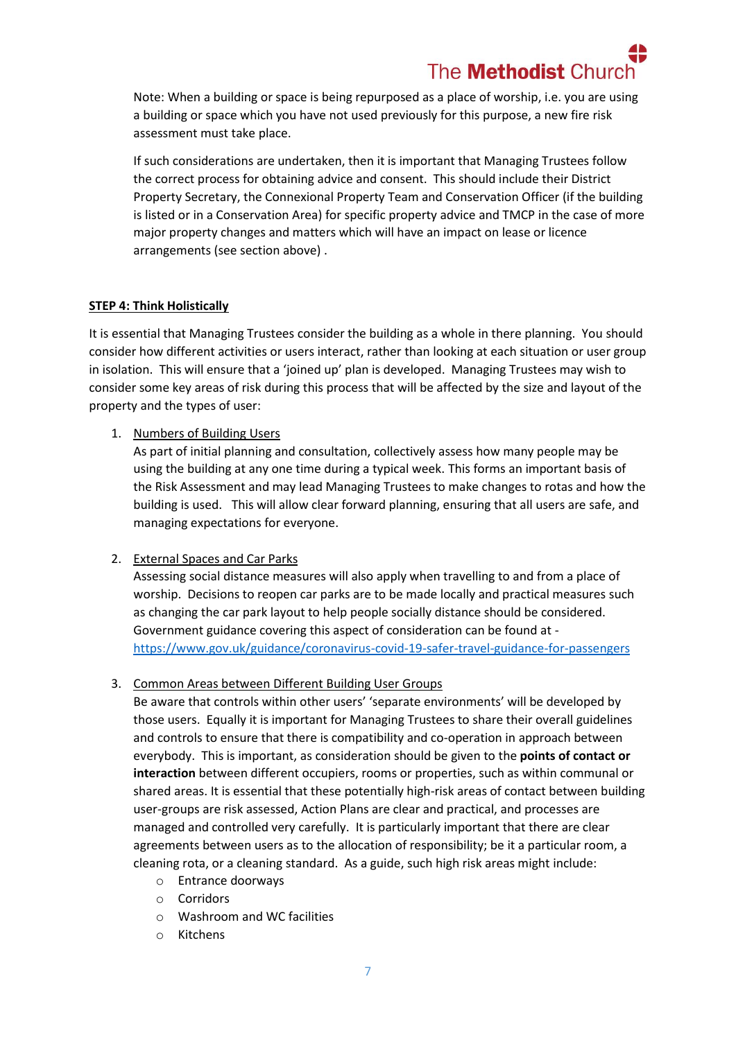Note: When a building or space is being repurposed as a place of worship, i.e. you are using a building or space which you have not used previously for this purpose, a new fire risk assessment must take place.

If such considerations are undertaken, then it is important that Managing Trustees follow the correct process for obtaining advice and consent. This should include their District Property Secretary, the Connexional Property Team and Conservation Officer (if the building is listed or in a Conservation Area) for specific property advice and TMCP in the case of more major property changes and matters which will have an impact on lease or licence arrangements (see section above) .

#### **STEP 4: Think Holistically**

It is essential that Managing Trustees consider the building as a whole in there planning. You should consider how different activities or users interact, rather than looking at each situation or user group in isolation. This will ensure that a 'joined up' plan is developed. Managing Trustees may wish to consider some key areas of risk during this process that will be affected by the size and layout of the property and the types of user:

#### 1. Numbers of Building Users

As part of initial planning and consultation, collectively assess how many people may be using the building at any one time during a typical week. This forms an important basis of the Risk Assessment and may lead Managing Trustees to make changes to rotas and how the building is used. This will allow clear forward planning, ensuring that all users are safe, and managing expectations for everyone.

#### 2. External Spaces and Car Parks

Assessing social distance measures will also apply when travelling to and from a place of worship. Decisions to reopen car parks are to be made locally and practical measures such as changing the car park layout to help people socially distance should be considered. Government guidance covering this aspect of consideration can be found at <https://www.gov.uk/guidance/coronavirus-covid-19-safer-travel-guidance-for-passengers>

#### 3. Common Areas between Different Building User Groups

Be aware that controls within other users' 'separate environments' will be developed by those users. Equally it is important for Managing Trustees to share their overall guidelines and controls to ensure that there is compatibility and co-operation in approach between everybody. This is important, as consideration should be given to the **points of contact or interaction** between different occupiers, rooms or properties, such as within communal or shared areas. It is essential that these potentially high-risk areas of contact between building user-groups are risk assessed, Action Plans are clear and practical, and processes are managed and controlled very carefully. It is particularly important that there are clear agreements between users as to the allocation of responsibility; be it a particular room, a cleaning rota, or a cleaning standard. As a guide, such high risk areas might include:

- o Entrance doorways
- o Corridors
- o Washroom and WC facilities
- o Kitchens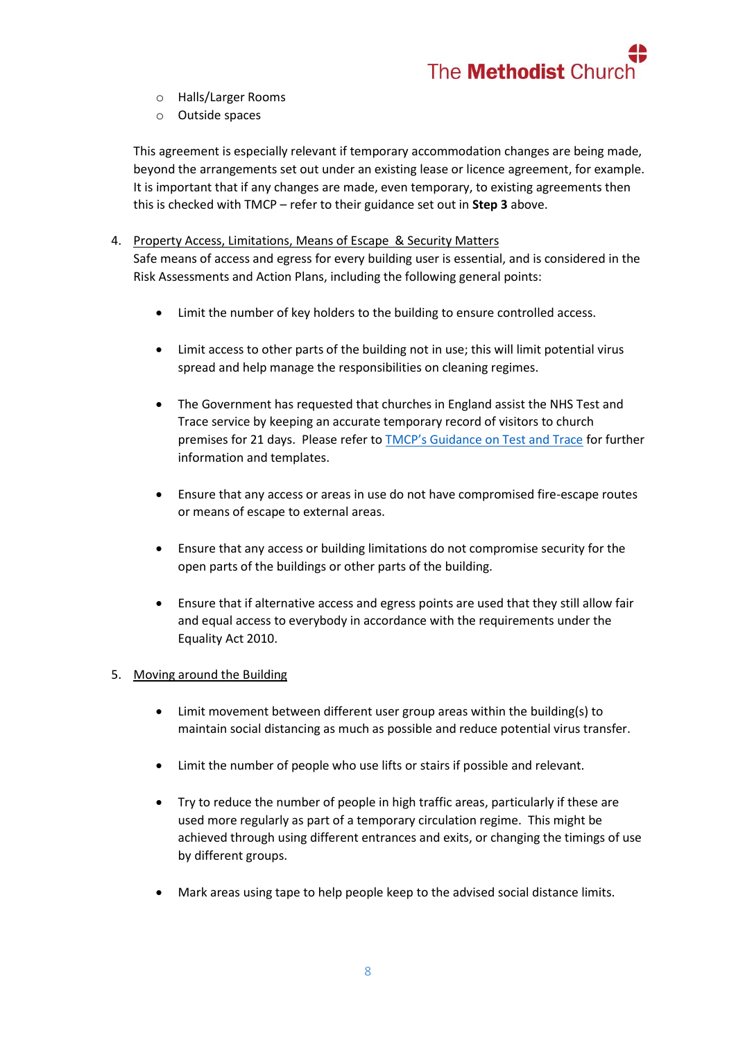

- o Halls/Larger Rooms
- o Outside spaces

This agreement is especially relevant if temporary accommodation changes are being made, beyond the arrangements set out under an existing lease or licence agreement, for example. It is important that if any changes are made, even temporary, to existing agreements then this is checked with TMCP – refer to their guidance set out in **Step 3** above.

- 4. Property Access, Limitations, Means of Escape & Security Matters Safe means of access and egress for every building user is essential, and is considered in the Risk Assessments and Action Plans, including the following general points:
	- Limit the number of key holders to the building to ensure controlled access.
	- Limit access to other parts of the building not in use; this will limit potential virus spread and help manage the responsibilities on cleaning regimes.
	- The Government has requested that churches in England assist the NHS Test and Trace service by keeping an accurate temporary record of visitors to church premises for 21 days. Please refer to [TMCP's Guidance on Test and Trace](https://www.tmcp.org.uk/news-hub/new-test-and-trace-record-available) for further information and templates.
	- Ensure that any access or areas in use do not have compromised fire-escape routes or means of escape to external areas.
	- Ensure that any access or building limitations do not compromise security for the open parts of the buildings or other parts of the building.
	- Ensure that if alternative access and egress points are used that they still allow fair and equal access to everybody in accordance with the requirements under the Equality Act 2010.

#### 5. Moving around the Building

- Limit movement between different user group areas within the building(s) to maintain social distancing as much as possible and reduce potential virus transfer.
- Limit the number of people who use lifts or stairs if possible and relevant.
- Try to reduce the number of people in high traffic areas, particularly if these are used more regularly as part of a temporary circulation regime. This might be achieved through using different entrances and exits, or changing the timings of use by different groups.
- Mark areas using tape to help people keep to the advised social distance limits.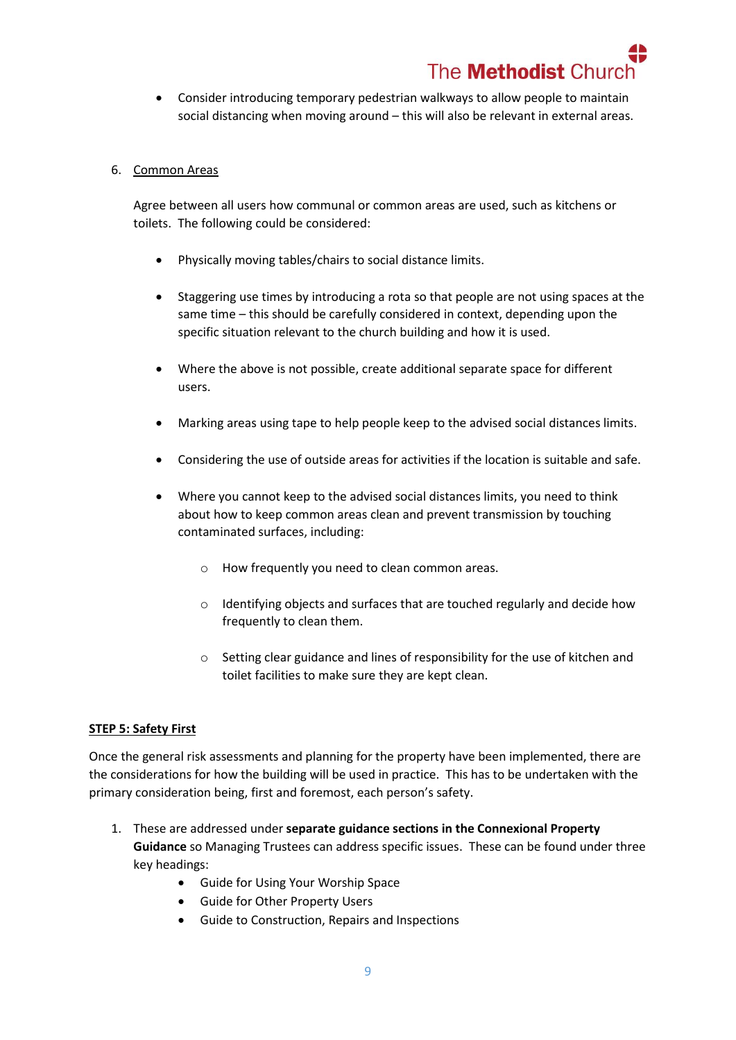# The **Methodist** Chur

- Consider introducing temporary pedestrian walkways to allow people to maintain social distancing when moving around – this will also be relevant in external areas.
- 6. Common Areas

Agree between all users how communal or common areas are used, such as kitchens or toilets. The following could be considered:

- Physically moving tables/chairs to social distance limits.
- Staggering use times by introducing a rota so that people are not using spaces at the same time – this should be carefully considered in context, depending upon the specific situation relevant to the church building and how it is used.
- Where the above is not possible, create additional separate space for different users.
- Marking areas using tape to help people keep to the advised social distances limits.
- Considering the use of outside areas for activities if the location is suitable and safe.
- Where you cannot keep to the advised social distances limits, you need to think about how to keep common areas clean and prevent transmission by touching contaminated surfaces, including:
	- o How frequently you need to clean common areas.
	- o Identifying objects and surfaces that are touched regularly and decide how frequently to clean them.
	- $\circ$  Setting clear guidance and lines of responsibility for the use of kitchen and toilet facilities to make sure they are kept clean.

## **STEP 5: Safety First**

Once the general risk assessments and planning for the property have been implemented, there are the considerations for how the building will be used in practice. This has to be undertaken with the primary consideration being, first and foremost, each person's safety.

- 1. These are addressed under **separate guidance sections in the Connexional Property Guidance** so Managing Trustees can address specific issues. These can be found under three key headings:
	- Guide for Using Your Worship Space
	- Guide for Other Property Users
	- Guide to Construction, Repairs and Inspections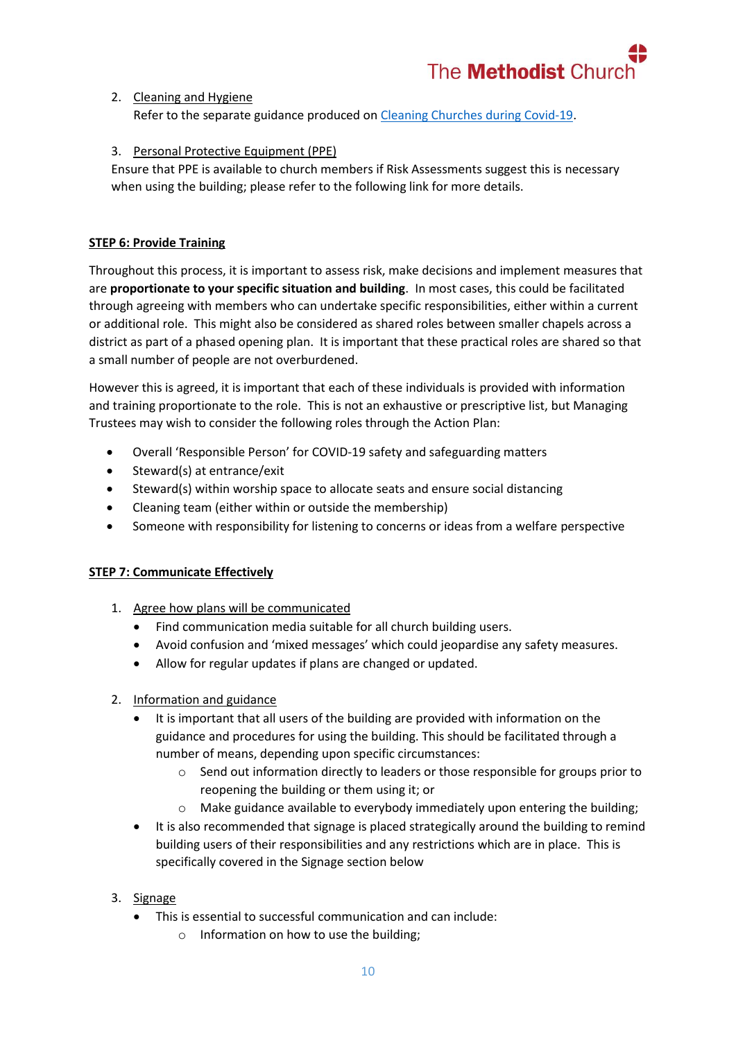

#### 2. Cleaning and Hygiene

Refer to the separate guidance produced on Cleaning [Churches during Covid-19.](https://www.methodist.org.uk/for-churches/property/coronavirus-guidance-for-property/)

#### 3. Personal Protective Equipment (PPE)

Ensure that PPE is available to church members if Risk Assessments suggest this is necessary when using the building; please refer to the following link for more details.

#### **STEP 6: Provide Training**

Throughout this process, it is important to assess risk, make decisions and implement measures that are **proportionate to your specific situation and building**. In most cases, this could be facilitated through agreeing with members who can undertake specific responsibilities, either within a current or additional role. This might also be considered as shared roles between smaller chapels across a district as part of a phased opening plan. It is important that these practical roles are shared so that a small number of people are not overburdened.

However this is agreed, it is important that each of these individuals is provided with information and training proportionate to the role. This is not an exhaustive or prescriptive list, but Managing Trustees may wish to consider the following roles through the Action Plan:

- Overall 'Responsible Person' for COVID-19 safety and safeguarding matters
- $\bullet$  Steward(s) at entrance/exit
- Steward(s) within worship space to allocate seats and ensure social distancing
- Cleaning team (either within or outside the membership)
- Someone with responsibility for listening to concerns or ideas from a welfare perspective

#### **STEP 7: Communicate Effectively**

- 1. Agree how plans will be communicated
	- Find communication media suitable for all church building users.
	- Avoid confusion and 'mixed messages' which could jeopardise any safety measures.
	- Allow for regular updates if plans are changed or updated.

#### 2. Information and guidance

- It is important that all users of the building are provided with information on the guidance and procedures for using the building. This should be facilitated through a number of means, depending upon specific circumstances:
	- $\circ$  Send out information directly to leaders or those responsible for groups prior to reopening the building or them using it; or
	- o Make guidance available to everybody immediately upon entering the building;
- It is also recommended that signage is placed strategically around the building to remind building users of their responsibilities and any restrictions which are in place. This is specifically covered in the Signage section below
- 3. Signage
	- This is essential to successful communication and can include:
		- o Information on how to use the building;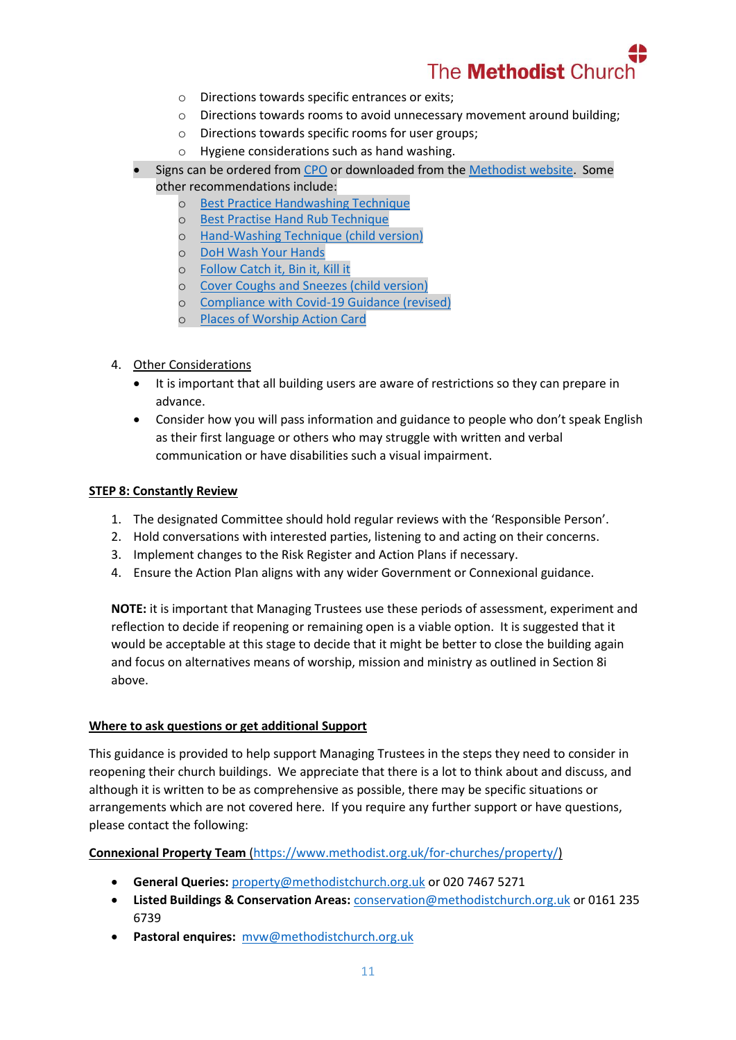

- o Directions towards specific entrances or exits;
- o Directions towards rooms to avoid unnecessary movement around building;
- o Directions towards specific rooms for user groups;
- o Hygiene considerations such as hand washing.
- Signs can be ordered from [CPO](http://www.cpo.org.uk/methodistppe) or downloaded from th[e Methodist website.](https://www.methodist.org.uk/about-us/coronavirus/posters-for-reopening-churches/) Some other recommendations include:
	- o [Best Practice Handwashing Technique](https://assets.publishing.service.gov.uk/government/uploads/system/uploads/attachment_data/file/886217/Best_practice_hand_wash.pdf)
	- o [Best Practise Hand Rub Technique](https://assets.publishing.service.gov.uk/government/uploads/system/uploads/attachment_data/file/886216/Best_practice_hand_rub.pdf)
	- o [Hand-Washing Technique \(child version\)](https://www.methodist.org.uk/media/17916/hand-hygiene-poster-2020.pdf)
	- o [DoH Wash Your Hands](https://www.methodist.org.uk/media/17914/doh-handwash-poster-19-03-2020-3.pdf)
	- o [Follow Catch it, Bin it, Kill it](https://www.england.nhs.uk/south/wp-content/uploads/sites/6/2017/09/catch-bin-kill.pdf)
	- o [Cover Coughs and Sneezes \(child version\)](https://www.methodist.org.uk/media/17915/respiratory-hygiene-poster-2020.pdf)
	- o [Compliance with Covid-19 Guidance \(revised\)](https://assets.publishing.service.gov.uk/government/uploads/system/uploads/attachment_data/file/897765/staying-covid-19-secure-2020.pdf)
	- o [Places of Worship Action Card](https://www.methodist.org.uk/media/19101/a4actioncard_places-of-worship.pdf)
- 4. Other Considerations
	- It is important that all building users are aware of restrictions so they can prepare in advance.
	- Consider how you will pass information and guidance to people who don't speak English as their first language or others who may struggle with written and verbal communication or have disabilities such a visual impairment.

#### **STEP 8: Constantly Review**

- 1. The designated Committee should hold regular reviews with the 'Responsible Person'.
- 2. Hold conversations with interested parties, listening to and acting on their concerns.
- 3. Implement changes to the Risk Register and Action Plans if necessary.
- 4. Ensure the Action Plan aligns with any wider Government or Connexional guidance.

**NOTE:** it is important that Managing Trustees use these periods of assessment, experiment and reflection to decide if reopening or remaining open is a viable option. It is suggested that it would be acceptable at this stage to decide that it might be better to close the building again and focus on alternatives means of worship, mission and ministry as outlined in Section 8i above.

#### **Where to ask questions or get additional Support**

This guidance is provided to help support Managing Trustees in the steps they need to consider in reopening their church buildings. We appreciate that there is a lot to think about and discuss, and although it is written to be as comprehensive as possible, there may be specific situations or arrangements which are not covered here. If you require any further support or have questions, please contact the following:

**Connexional Property Team** [\(https://www.methodist.org.uk/for-churches/property/\)](https://www.methodist.org.uk/for-churches/property/)

- **General Queries:** [property@methodistchurch.org.uk](mailto:property@methodistchurch.org.uk) or 020 7467 5271
- **Listed Buildings & Conservation Areas:** [conservation@methodistchurch.org.uk](mailto:conservation@methodistchurch.org.uk) or 0161 235 6739
- **Pastoral enquires:** [mvw@methodistchurch.org.uk](mailto:mvw@methodistchurch.org.uk)